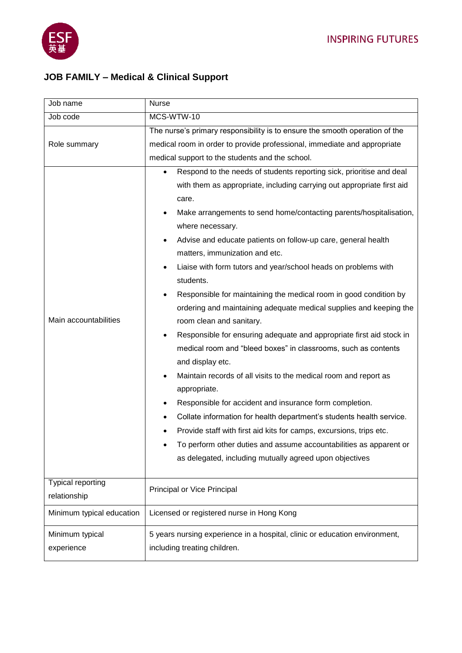

## **JOB FAMILY – Medical & Clinical Support**

| Job name                          | <b>Nurse</b>                                                                                                                                                                                                                                                                                                                                                                                                                                                                                                                                                                                                                                                                                                                                                                                                                                                                                                                                                                                                                                                                                                                                                           |
|-----------------------------------|------------------------------------------------------------------------------------------------------------------------------------------------------------------------------------------------------------------------------------------------------------------------------------------------------------------------------------------------------------------------------------------------------------------------------------------------------------------------------------------------------------------------------------------------------------------------------------------------------------------------------------------------------------------------------------------------------------------------------------------------------------------------------------------------------------------------------------------------------------------------------------------------------------------------------------------------------------------------------------------------------------------------------------------------------------------------------------------------------------------------------------------------------------------------|
| Job code                          | MCS-WTW-10                                                                                                                                                                                                                                                                                                                                                                                                                                                                                                                                                                                                                                                                                                                                                                                                                                                                                                                                                                                                                                                                                                                                                             |
| Role summary                      | The nurse's primary responsibility is to ensure the smooth operation of the<br>medical room in order to provide professional, immediate and appropriate<br>medical support to the students and the school.<br>Respond to the needs of students reporting sick, prioritise and deal<br>$\bullet$                                                                                                                                                                                                                                                                                                                                                                                                                                                                                                                                                                                                                                                                                                                                                                                                                                                                        |
| Main accountabilities             | with them as appropriate, including carrying out appropriate first aid<br>care.<br>Make arrangements to send home/contacting parents/hospitalisation,<br>where necessary.<br>Advise and educate patients on follow-up care, general health<br>$\bullet$<br>matters, immunization and etc.<br>Liaise with form tutors and year/school heads on problems with<br>students.<br>Responsible for maintaining the medical room in good condition by<br>$\bullet$<br>ordering and maintaining adequate medical supplies and keeping the<br>room clean and sanitary.<br>Responsible for ensuring adequate and appropriate first aid stock in<br>$\bullet$<br>medical room and "bleed boxes" in classrooms, such as contents<br>and display etc.<br>Maintain records of all visits to the medical room and report as<br>appropriate.<br>Responsible for accident and insurance form completion.<br>Collate information for health department's students health service.<br>Provide staff with first aid kits for camps, excursions, trips etc.<br>To perform other duties and assume accountabilities as apparent or<br>as delegated, including mutually agreed upon objectives |
| Typical reporting<br>relationship | Principal or Vice Principal                                                                                                                                                                                                                                                                                                                                                                                                                                                                                                                                                                                                                                                                                                                                                                                                                                                                                                                                                                                                                                                                                                                                            |
| Minimum typical education         | Licensed or registered nurse in Hong Kong                                                                                                                                                                                                                                                                                                                                                                                                                                                                                                                                                                                                                                                                                                                                                                                                                                                                                                                                                                                                                                                                                                                              |
| Minimum typical<br>experience     | 5 years nursing experience in a hospital, clinic or education environment,<br>including treating children.                                                                                                                                                                                                                                                                                                                                                                                                                                                                                                                                                                                                                                                                                                                                                                                                                                                                                                                                                                                                                                                             |